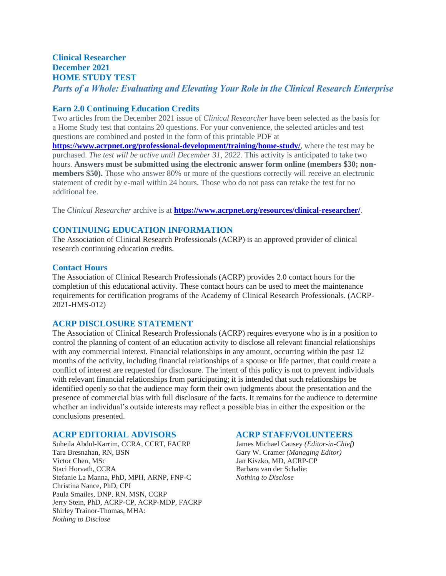#### **Clinical Researcher December 2021 HOME STUDY TEST** Parts of a Whole: Evaluating and Elevating Your Role in the Clinical Research Enterprise

#### **Earn 2.0 Continuing Education Credits**

Two articles from the December 2021 issue of *Clinical Researcher* have been selected as the basis for a Home Study test that contains 20 questions. For your convenience, the selected articles and test questions are combined and posted in the form of this printable PDF at

**<https://www.acrpnet.org/professional-development/training/home-study/>**, where the test may be purchased. *The test will be active until December 31, 2022.* This activity is anticipated to take two hours. **Answers must be submitted using the electronic answer form online (members \$30; nonmembers \$50).** Those who answer 80% or more of the questions correctly will receive an electronic statement of credit by e-mail within 24 hours. Those who do not pass can retake the test for no additional fee.

The *Clinical Researcher* archive is at **<https://www.acrpnet.org/resources/clinical-researcher/>**.

#### **CONTINUING EDUCATION INFORMATION**

The Association of Clinical Research Professionals (ACRP) is an approved provider of clinical research continuing education credits.

#### **Contact Hours**

The Association of Clinical Research Professionals (ACRP) provides 2.0 contact hours for the completion of this educational activity. These contact hours can be used to meet the maintenance requirements for certification programs of the Academy of Clinical Research Professionals. (ACRP-2021-HMS-012)

#### **ACRP DISCLOSURE STATEMENT**

The Association of Clinical Research Professionals (ACRP) requires everyone who is in a position to control the planning of content of an education activity to disclose all relevant financial relationships with any commercial interest. Financial relationships in any amount, occurring within the past 12 months of the activity, including financial relationships of a spouse or life partner, that could create a conflict of interest are requested for disclosure. The intent of this policy is not to prevent individuals with relevant financial relationships from participating; it is intended that such relationships be identified openly so that the audience may form their own judgments about the presentation and the presence of commercial bias with full disclosure of the facts. It remains for the audience to determine whether an individual's outside interests may reflect a possible bias in either the exposition or the conclusions presented.

#### **ACRP EDITORIAL ADVISORS ACRP STAFF/VOLUNTEERS**

Suheila Abdul-Karrim, CCRA, CCRT, FACRP James Michael Causey *(Editor-in-Chief)* Tara Bresnahan, RN, BSN Gary W. Cramer *(Managing Editor)* Victor Chen, MSc Jan Kiszko, MD, ACRP-CP Staci Horvath, CCRA Barbara van der Schalie: Stefanie La Manna, PhD, MPH, ARNP, FNP-C *Nothing to Disclose* Christina Nance, PhD, CPI Paula Smailes, DNP, RN, MSN, CCRP Jerry Stein, PhD, ACRP-CP, ACRP-MDP, FACRP Shirley Trainor-Thomas, MHA: *Nothing to Disclose*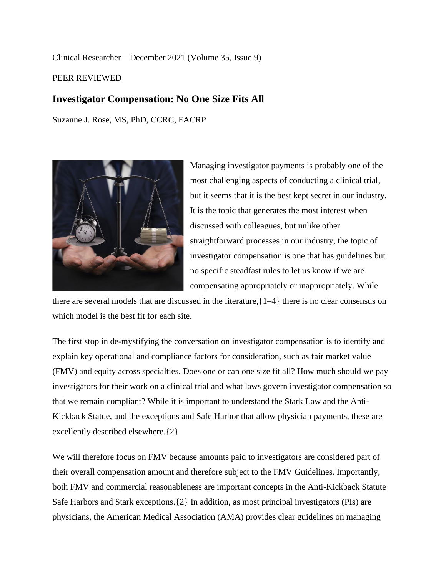Clinical Researcher—December 2021 (Volume 35, Issue 9)

PEER REVIEWED

## **Investigator Compensation: No One Size Fits All**

Suzanne J. Rose, MS, PhD, CCRC, FACRP



Managing investigator payments is probably one of the most challenging aspects of conducting a clinical trial, but it seems that it is the best kept secret in our industry. It is the topic that generates the most interest when discussed with colleagues, but unlike other straightforward processes in our industry, the topic of investigator compensation is one that has guidelines but no specific steadfast rules to let us know if we are compensating appropriately or inappropriately. While

there are several models that are discussed in the literature,{1–4} there is no clear consensus on which model is the best fit for each site.

The first stop in de-mystifying the conversation on investigator compensation is to identify and explain key operational and compliance factors for consideration, such as fair market value (FMV) and equity across specialties. Does one or can one size fit all? How much should we pay investigators for their work on a clinical trial and what laws govern investigator compensation so that we remain compliant? While it is important to understand the Stark Law and the Anti-Kickback Statue, and the exceptions and Safe Harbor that allow physician payments, these are excellently described elsewhere.{2}

We will therefore focus on FMV because amounts paid to investigators are considered part of their overall compensation amount and therefore subject to the FMV Guidelines. Importantly, both FMV and commercial reasonableness are important concepts in the Anti-Kickback Statute Safe Harbors and Stark exceptions.{2} In addition, as most principal investigators (PIs) are physicians, the American Medical Association (AMA) provides clear guidelines on managing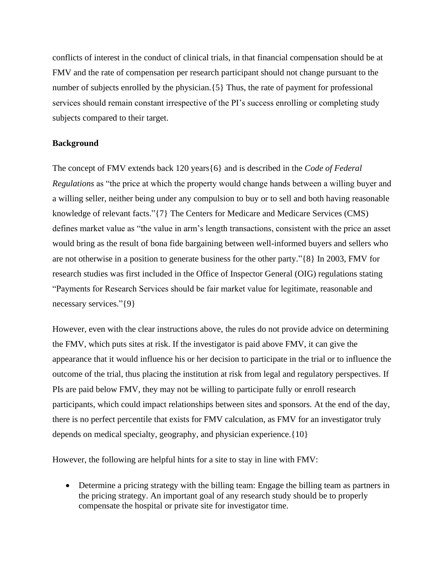conflicts of interest in the conduct of clinical trials, in that financial compensation should be at FMV and the rate of compensation per research participant should not change pursuant to the number of subjects enrolled by the physician.  $\{5\}$  Thus, the rate of payment for professional services should remain constant irrespective of the PI's success enrolling or completing study subjects compared to their target.

#### **Background**

The concept of FMV extends back 120 years{6} and is described in the *Code of Federal Regulations* as "the price at which the property would change hands between a willing buyer and a willing seller, neither being under any compulsion to buy or to sell and both having reasonable knowledge of relevant facts."{7} The Centers for Medicare and Medicare Services (CMS) defines market value as "the value in arm's length transactions, consistent with the price an asset would bring as the result of bona fide bargaining between well-informed buyers and sellers who are not otherwise in a position to generate business for the other party."{8} In 2003, FMV for research studies was first included in the Office of Inspector General (OIG) regulations stating "Payments for Research Services should be fair market value for legitimate, reasonable and necessary services."{9}

However, even with the clear instructions above, the rules do not provide advice on determining the FMV, which puts sites at risk. If the investigator is paid above FMV, it can give the appearance that it would influence his or her decision to participate in the trial or to influence the outcome of the trial, thus placing the institution at risk from legal and regulatory perspectives. If PIs are paid below FMV, they may not be willing to participate fully or enroll research participants, which could impact relationships between sites and sponsors. At the end of the day, there is no perfect percentile that exists for FMV calculation, as FMV for an investigator truly depends on medical specialty, geography, and physician experience.{10}

However, the following are helpful hints for a site to stay in line with FMV:

• Determine a pricing strategy with the billing team: Engage the billing team as partners in the pricing strategy. An important goal of any research study should be to properly compensate the hospital or private site for investigator time.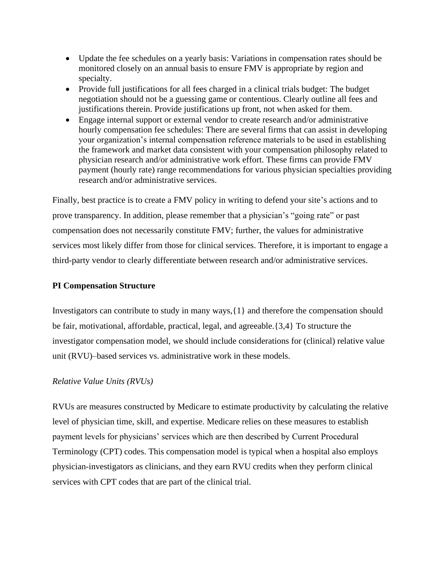- Update the fee schedules on a yearly basis: Variations in compensation rates should be monitored closely on an annual basis to ensure FMV is appropriate by region and specialty.
- Provide full justifications for all fees charged in a clinical trials budget: The budget negotiation should not be a guessing game or contentious. Clearly outline all fees and justifications therein. Provide justifications up front, not when asked for them.
- Engage internal support or external vendor to create research and/or administrative hourly compensation fee schedules: There are several firms that can assist in developing your organization's internal compensation reference materials to be used in establishing the framework and market data consistent with your compensation philosophy related to physician research and/or administrative work effort. These firms can provide FMV payment (hourly rate) range recommendations for various physician specialties providing research and/or administrative services.

Finally, best practice is to create a FMV policy in writing to defend your site's actions and to prove transparency. In addition, please remember that a physician's "going rate" or past compensation does not necessarily constitute FMV; further, the values for administrative services most likely differ from those for clinical services. Therefore, it is important to engage a third-party vendor to clearly differentiate between research and/or administrative services.

#### **PI Compensation Structure**

Investigators can contribute to study in many ways,{1} and therefore the compensation should be fair, motivational, affordable, practical, legal, and agreeable.{3,4} To structure the investigator compensation model, we should include considerations for (clinical) relative value unit (RVU)–based services vs. administrative work in these models.

#### *Relative Value Units (RVUs)*

RVUs are measures constructed by Medicare to estimate productivity by calculating the relative level of physician time, skill, and expertise. Medicare relies on these measures to establish payment levels for physicians' services which are then described by Current Procedural Terminology (CPT) codes. This compensation model is typical when a hospital also employs physician-investigators as clinicians, and they earn RVU credits when they perform clinical services with CPT codes that are part of the clinical trial.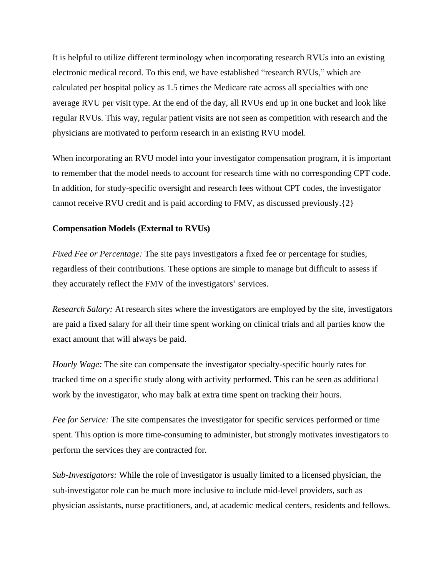It is helpful to utilize different terminology when incorporating research RVUs into an existing electronic medical record. To this end, we have established "research RVUs," which are calculated per hospital policy as 1.5 times the Medicare rate across all specialties with one average RVU per visit type. At the end of the day, all RVUs end up in one bucket and look like regular RVUs. This way, regular patient visits are not seen as competition with research and the physicians are motivated to perform research in an existing RVU model.

When incorporating an RVU model into your investigator compensation program, it is important to remember that the model needs to account for research time with no corresponding CPT code. In addition, for study-specific oversight and research fees without CPT codes, the investigator cannot receive RVU credit and is paid according to FMV, as discussed previously.{2}

#### **Compensation Models (External to RVUs)**

*Fixed Fee or Percentage:* The site pays investigators a fixed fee or percentage for studies, regardless of their contributions. These options are simple to manage but difficult to assess if they accurately reflect the FMV of the investigators' services.

*Research Salary:* At research sites where the investigators are employed by the site, investigators are paid a fixed salary for all their time spent working on clinical trials and all parties know the exact amount that will always be paid.

*Hourly Wage:* The site can compensate the investigator specialty-specific hourly rates for tracked time on a specific study along with activity performed. This can be seen as additional work by the investigator, who may balk at extra time spent on tracking their hours.

*Fee for Service:* The site compensates the investigator for specific services performed or time spent. This option is more time-consuming to administer, but strongly motivates investigators to perform the services they are contracted for.

*Sub-Investigators:* While the role of investigator is usually limited to a licensed physician, the sub-investigator role can be much more inclusive to include mid-level providers, such as physician assistants, nurse practitioners, and, at academic medical centers, residents and fellows.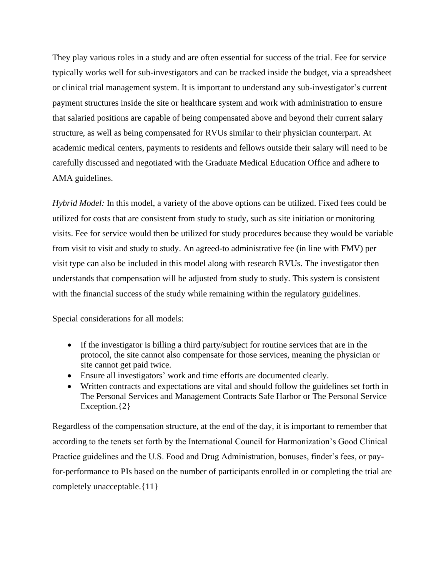They play various roles in a study and are often essential for success of the trial. Fee for service typically works well for sub-investigators and can be tracked inside the budget, via a spreadsheet or clinical trial management system. It is important to understand any sub-investigator's current payment structures inside the site or healthcare system and work with administration to ensure that salaried positions are capable of being compensated above and beyond their current salary structure, as well as being compensated for RVUs similar to their physician counterpart. At academic medical centers, payments to residents and fellows outside their salary will need to be carefully discussed and negotiated with the Graduate Medical Education Office and adhere to AMA guidelines.

*Hybrid Model:* In this model, a variety of the above options can be utilized. Fixed fees could be utilized for costs that are consistent from study to study, such as site initiation or monitoring visits. Fee for service would then be utilized for study procedures because they would be variable from visit to visit and study to study. An agreed-to administrative fee (in line with FMV) per visit type can also be included in this model along with research RVUs. The investigator then understands that compensation will be adjusted from study to study. This system is consistent with the financial success of the study while remaining within the regulatory guidelines.

Special considerations for all models:

- If the investigator is billing a third party/subject for routine services that are in the protocol, the site cannot also compensate for those services, meaning the physician or site cannot get paid twice.
- Ensure all investigators' work and time efforts are documented clearly.
- Written contracts and expectations are vital and should follow the guidelines set forth in The Personal Services and Management Contracts Safe Harbor or The Personal Service Exception.  ${2}$

Regardless of the compensation structure, at the end of the day, it is important to remember that according to the tenets set forth by the International Council for Harmonization's Good Clinical Practice guidelines and the U.S. Food and Drug Administration, bonuses, finder's fees, or payfor-performance to PIs based on the number of participants enrolled in or completing the trial are completely unacceptable.{11}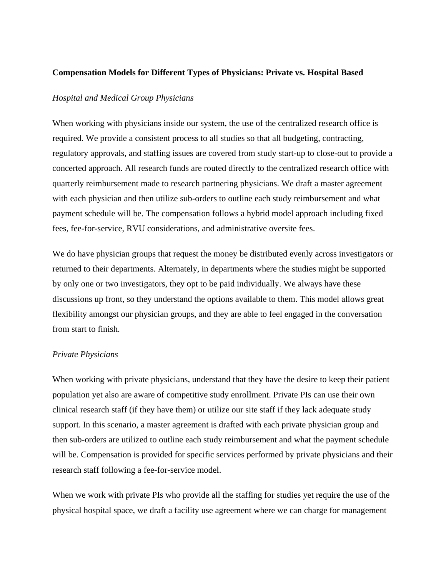#### **Compensation Models for Different Types of Physicians: Private vs. Hospital Based**

#### *Hospital and Medical Group Physicians*

When working with physicians inside our system, the use of the centralized research office is required. We provide a consistent process to all studies so that all budgeting, contracting, regulatory approvals, and staffing issues are covered from study start-up to close-out to provide a concerted approach. All research funds are routed directly to the centralized research office with quarterly reimbursement made to research partnering physicians. We draft a master agreement with each physician and then utilize sub-orders to outline each study reimbursement and what payment schedule will be. The compensation follows a hybrid model approach including fixed fees, fee-for-service, RVU considerations, and administrative oversite fees.

We do have physician groups that request the money be distributed evenly across investigators or returned to their departments. Alternately, in departments where the studies might be supported by only one or two investigators, they opt to be paid individually. We always have these discussions up front, so they understand the options available to them. This model allows great flexibility amongst our physician groups, and they are able to feel engaged in the conversation from start to finish.

#### *Private Physicians*

When working with private physicians, understand that they have the desire to keep their patient population yet also are aware of competitive study enrollment. Private PIs can use their own clinical research staff (if they have them) or utilize our site staff if they lack adequate study support. In this scenario, a master agreement is drafted with each private physician group and then sub-orders are utilized to outline each study reimbursement and what the payment schedule will be. Compensation is provided for specific services performed by private physicians and their research staff following a fee-for-service model.

When we work with private PIs who provide all the staffing for studies yet require the use of the physical hospital space, we draft a facility use agreement where we can charge for management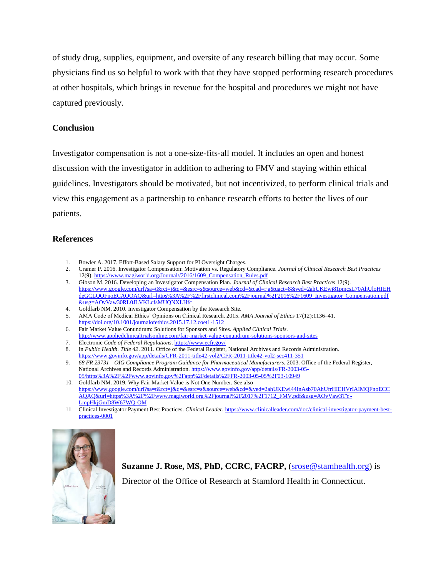of study drug, supplies, equipment, and oversite of any research billing that may occur. Some physicians find us so helpful to work with that they have stopped performing research procedures at other hospitals, which brings in revenue for the hospital and procedures we might not have captured previously.

#### **Conclusion**

Investigator compensation is not a one-size-fits-all model. It includes an open and honest discussion with the investigator in addition to adhering to FMV and staying within ethical guidelines. Investigators should be motivated, but not incentivized, to perform clinical trials and view this engagement as a partnership to enhance research efforts to better the lives of our patients.

#### **References**

- 1. Bowler A. 2017. Effort-Based Salary Support for PI Oversight Charges.
- 2. Cramer P. 2016. Investigator Compensation: Motivation vs. Regulatory Compliance. *Journal of Clinical Research Best Practices* 12(9)[. https://www.magiworld.org/Journal//2016/1609\\_Compensation\\_Rules.pdf](https://www.magiworld.org/Journal/2016/1609_Compensation_Rules.pdf)
- 3. Gibson M. 2016. Developing an Investigator Compensation Plan. *Journal of Clinical Research Best Practices* 12(9). [https://www.google.com/url?sa=t&rct=j&q=&esrc=s&source=web&cd=&cad=rja&uact=8&ved=2ahUKEwj81pmcsL70AhUloHIEH](https://www.google.com/url?sa=t&rct=j&q=&esrc=s&source=web&cd=&cad=rja&uact=8&ved=2ahUKEwj81pmcsL70AhUloHIEHdeGCLQQFnoECAQQAQ&url=https%3A%2F%2Ffirstclinical.com%2Fjournal%2F2016%2F1609_Investigator_Compensation.pdf&usg=AOvVaw30RL0JLVKLcfsMUQNXLHfc) [deGCLQQFnoECAQQAQ&url=https%3A%2F%2Ffirstclinical.com%2Fjournal%2F2016%2F1609\\_Investigator\\_Compensation.pdf](https://www.google.com/url?sa=t&rct=j&q=&esrc=s&source=web&cd=&cad=rja&uact=8&ved=2ahUKEwj81pmcsL70AhUloHIEHdeGCLQQFnoECAQQAQ&url=https%3A%2F%2Ffirstclinical.com%2Fjournal%2F2016%2F1609_Investigator_Compensation.pdf&usg=AOvVaw30RL0JLVKLcfsMUQNXLHfc) [&usg=AOvVaw30RL0JLVKLcfsMUQNXLHfc](https://www.google.com/url?sa=t&rct=j&q=&esrc=s&source=web&cd=&cad=rja&uact=8&ved=2ahUKEwj81pmcsL70AhUloHIEHdeGCLQQFnoECAQQAQ&url=https%3A%2F%2Ffirstclinical.com%2Fjournal%2F2016%2F1609_Investigator_Compensation.pdf&usg=AOvVaw30RL0JLVKLcfsMUQNXLHfc)
- 4. Goldfarb NM. 2010. Investigator Compensation by the Research Site.
- 5. AMA Code of Medical Ethics' Opinions on Clinical Research. 2015. *AMA Journal of Ethics* 17(12):1136–41. <https://doi.org/10.1001/journalofethics.2015.17.12.coet1-1512>
- 6. Fair Market Value Conundrum: Solutions for Sponsors and Sites. *Applied Clinical Trials*. <http://www.appliedclinicaltrialsonline.com/fair-market-value-conundrum-solutions-sponsors-and-sites>
- 7. Electronic *Code of Federal Regulations*[. https://www.ecfr.gov/](https://www.ecfr.gov/)
- 8. In *Public Health. Title 42*. 2011. Office of the Federal Register, National Archives and Records Administration. <https://www.govinfo.gov/app/details/CFR-2011-title42-vol2/CFR-2011-title42-vol2-sec411-351>
- 9. *68 FR 23731—OIG Compliance Program Guidance for Pharmaceutical Manufacturers.* 2003. Office of the Federal Register, National Archives and Records Administration[. https://www.govinfo.gov/app/details/FR-2003-05-](https://www.govinfo.gov/app/details/FR-2003-05-05/https%3A%2F%2Fwww.govinfo.gov%2Fapp%2Fdetails%2FFR-2003-05-05%2F03-10949) [05/https%3A%2F%2Fwww.govinfo.gov%2Fapp%2Fdetails%2FFR-2003-05-05%2F03-10949](https://www.govinfo.gov/app/details/FR-2003-05-05/https%3A%2F%2Fwww.govinfo.gov%2Fapp%2Fdetails%2FFR-2003-05-05%2F03-10949)
- 10. Goldfarb NM. 2019. Why Fair Market Value is Not One Number. See also [https://www.google.com/url?sa=t&rct=j&q=&esrc=s&source=web&cd=&ved=2ahUKEwi44InAsb70AhUfrHIEHVrIAIMQFnoECC](https://www.google.com/url?sa=t&rct=j&q=&esrc=s&source=web&cd=&ved=2ahUKEwi44InAsb70AhUfrHIEHVrIAIMQFnoECCAQAQ&url=https%3A%2F%2Fwww.magiworld.org%2Fjournal%2F2017%2F1712_FMV.pdf&usg=AOvVaw3TY-LmpHkjGmD8W67WQ-OM) [AQAQ&url=https%3A%2F%2Fwww.magiworld.org%2Fjournal%2F2017%2F1712\\_FMV.pdf&usg=AOvVaw3TY-](https://www.google.com/url?sa=t&rct=j&q=&esrc=s&source=web&cd=&ved=2ahUKEwi44InAsb70AhUfrHIEHVrIAIMQFnoECCAQAQ&url=https%3A%2F%2Fwww.magiworld.org%2Fjournal%2F2017%2F1712_FMV.pdf&usg=AOvVaw3TY-LmpHkjGmD8W67WQ-OM)[LmpHkjGmD8W67WQ-OM](https://www.google.com/url?sa=t&rct=j&q=&esrc=s&source=web&cd=&ved=2ahUKEwi44InAsb70AhUfrHIEHVrIAIMQFnoECCAQAQ&url=https%3A%2F%2Fwww.magiworld.org%2Fjournal%2F2017%2F1712_FMV.pdf&usg=AOvVaw3TY-LmpHkjGmD8W67WQ-OM)
- 11. Clinical Investigator Payment Best Practices. *Clinical Leader.* [https://www.clinicalleader.com/doc/clinical-investigator-payment-best](https://www.clinicalleader.com/doc/clinical-investigator-payment-best-practices-0001)[practices-0001](https://www.clinicalleader.com/doc/clinical-investigator-payment-best-practices-0001)



**Suzanne J. Rose, MS, PhD, CCRC, FACRP,** [\(srose@stamhealth.org\)](mailto:srose@stamhealth.org) is

Director of the Office of Research at Stamford Health in Connecticut.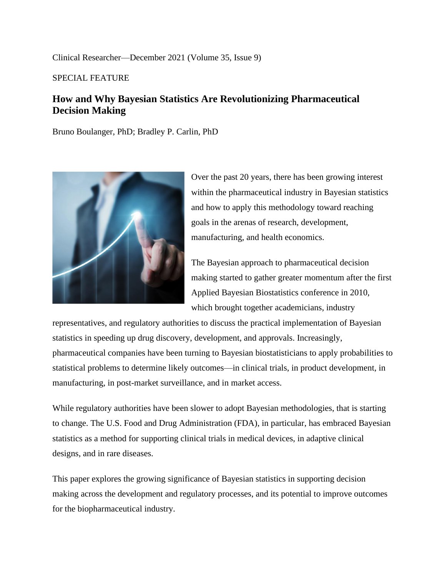Clinical Researcher—December 2021 (Volume 35, Issue 9)

SPECIAL FEATURE

# **How and Why Bayesian Statistics Are Revolutionizing Pharmaceutical Decision Making**

Bruno Boulanger, PhD; Bradley P. Carlin, PhD



Over the past 20 years, there has been growing interest within the pharmaceutical industry in Bayesian statistics and how to apply this methodology toward reaching goals in the arenas of research, development, manufacturing, and health economics.

The Bayesian approach to pharmaceutical decision making started to gather greater momentum after the first Applied Bayesian Biostatistics conference in 2010, which brought together academicians, industry

representatives, and regulatory authorities to discuss the practical implementation of Bayesian statistics in speeding up drug discovery, development, and approvals. Increasingly, pharmaceutical companies have been turning to Bayesian biostatisticians to apply probabilities to statistical problems to determine likely outcomes—in clinical trials, in product development, in manufacturing, in post-market surveillance, and in market access.

While regulatory authorities have been slower to adopt Bayesian methodologies, that is starting to change. The U.S. Food and Drug Administration (FDA), in particular, has embraced Bayesian statistics as a method for supporting clinical trials in medical devices, in adaptive clinical designs, and in rare diseases.

This paper explores the growing significance of Bayesian statistics in supporting decision making across the development and regulatory processes, and its potential to improve outcomes for the biopharmaceutical industry.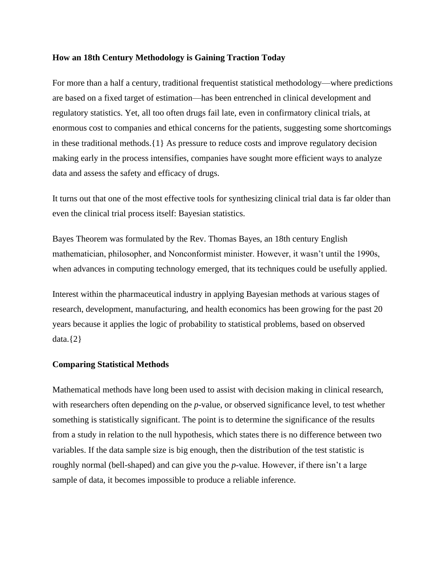#### **How an 18th Century Methodology is Gaining Traction Today**

For more than a half a century, traditional frequentist statistical methodology—where predictions are based on a fixed target of estimation—has been entrenched in clinical development and regulatory statistics. Yet, all too often drugs fail late, even in confirmatory clinical trials, at enormous cost to companies and ethical concerns for the patients, suggesting some shortcomings in these traditional methods.{1} As pressure to reduce costs and improve regulatory decision making early in the process intensifies, companies have sought more efficient ways to analyze data and assess the safety and efficacy of drugs.

It turns out that one of the most effective tools for synthesizing clinical trial data is far older than even the clinical trial process itself: Bayesian statistics.

Bayes Theorem was formulated by the Rev. Thomas Bayes, an 18th century English mathematician, philosopher, and Nonconformist minister. However, it wasn't until the 1990s, when advances in computing technology emerged, that its techniques could be usefully applied.

Interest within the pharmaceutical industry in applying Bayesian methods at various stages of research, development, manufacturing, and health economics has been growing for the past 20 years because it applies the logic of probability to statistical problems, based on observed data. $\{2\}$ 

#### **Comparing Statistical Methods**

Mathematical methods have long been used to assist with decision making in clinical research, with researchers often depending on the *p*-value, or observed significance level, to test whether something is statistically significant. The point is to determine the significance of the results from a study in relation to the null hypothesis, which states there is no difference between two variables. If the data sample size is big enough, then the distribution of the test statistic is roughly normal (bell-shaped) and can give you the *p*-value. However, if there isn't a large sample of data, it becomes impossible to produce a reliable inference.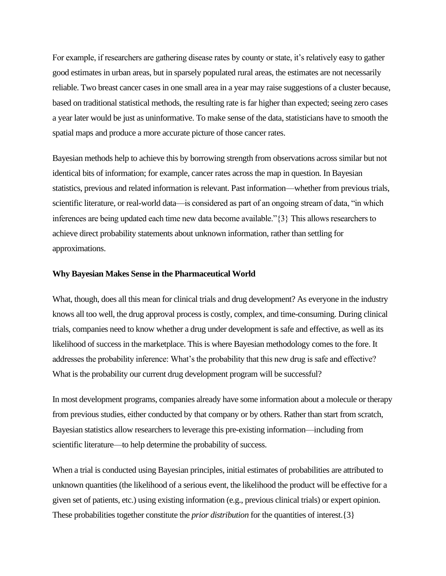For example, if researchers are gathering disease rates by county or state, it's relatively easy to gather good estimates in urban areas, but in sparsely populated rural areas, the estimates are not necessarily reliable. Two breast cancer cases in one small area in a year may raise suggestions of a cluster because, based on traditional statistical methods, the resulting rate is far higher than expected; seeing zero cases a year later would be just as uninformative. To make sense of the data, statisticians have to smooth the spatial maps and produce a more accurate picture of those cancer rates.

Bayesian methods help to achieve this by borrowing strength from observations across similar but not identical bits of information; for example, cancer rates across the map in question. In Bayesian statistics, previous and related information is relevant. Past information—whether from previous trials, scientific literature, or real-world data—is considered as part of an ongoing stream of data, "in which inferences are being updated each time new data become available."{3} This allows researchers to achieve direct probability statements about unknown information, rather than settling for approximations.

#### **Why Bayesian Makes Sense in the Pharmaceutical World**

What, though, does all this mean for clinical trials and drug development? As everyone in the industry knows all too well, the drug approval process is costly, complex, and time-consuming. During clinical trials, companies need to know whether a drug under development is safe and effective, as well as its likelihood of success in the marketplace. This is where Bayesian methodology comes to the fore. It addresses the probability inference: What's the probability that this new drug is safe and effective? What is the probability our current drug development program will be successful?

In most development programs, companies already have some information about a molecule or therapy from previous studies, either conducted by that company or by others. Rather than start from scratch, Bayesian statistics allow researchers to leverage this pre-existing information—including from scientific literature—to help determine the probability of success.

When a trial is conducted using Bayesian principles, initial estimates of probabilities are attributed to unknown quantities (the likelihood of a serious event, the likelihood the product will be effective for a given set of patients, etc.) using existing information (e.g., previous clinical trials) or expert opinion. These probabilities together constitute the *prior distribution* for the quantities of interest.{3}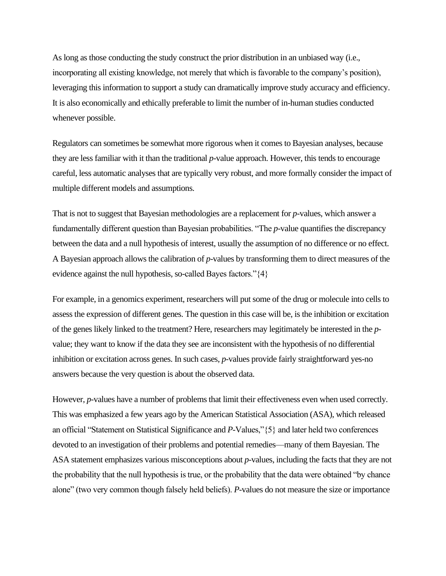As long as those conducting the study construct the prior distribution in an unbiased way (i.e., incorporating all existing knowledge, not merely that which is favorable to the company's position), leveraging this information to support a study can dramatically improve study accuracy and efficiency. It is also economically and ethically preferable to limit the number of in-human studies conducted whenever possible.

Regulators can sometimes be somewhat more rigorous when it comes to Bayesian analyses, because they are less familiar with it than the traditional *p*-value approach. However, this tends to encourage careful, less automatic analyses that are typically very robust, and more formally consider the impact of multiple different models and assumptions.

That is not to suggest that Bayesian methodologies are a replacement for *p*-values, which answer a fundamentally different question than Bayesian probabilities. "The *p*-value quantifies the discrepancy between the data and a null hypothesis of interest, usually the assumption of no difference or no effect. A Bayesian approach allows the calibration of *p*-values by transforming them to direct measures of the evidence against the null hypothesis, so-called Bayes factors."{4}

For example, in a genomics experiment, researchers will put some of the drug or molecule into cells to assess the expression of different genes. The question in this case will be, is the inhibition or excitation of the genes likely linked to the treatment? Here, researchers may legitimately be interested in the *p*value; they want to know if the data they see are inconsistent with the hypothesis of no differential inhibition or excitation across genes. In such cases, *p*-values provide fairly straightforward yes-no answers because the very question is about the observed data.

However, *p*-values have a number of problems that limit their effectiveness even when used correctly. This was emphasized a few years ago by the American Statistical Association (ASA), which released an official "Statement on Statistical Significance and *P*-Values,"{5} and later held two conferences devoted to an investigation of their problems and potential remedies—many of them Bayesian. The ASA statement emphasizes various misconceptions about *p*-values, including the facts that they are not the probability that the null hypothesis is true, or the probability that the data were obtained "by chance alone" (two very common though falsely held beliefs). *P*-values do not measure the size or importance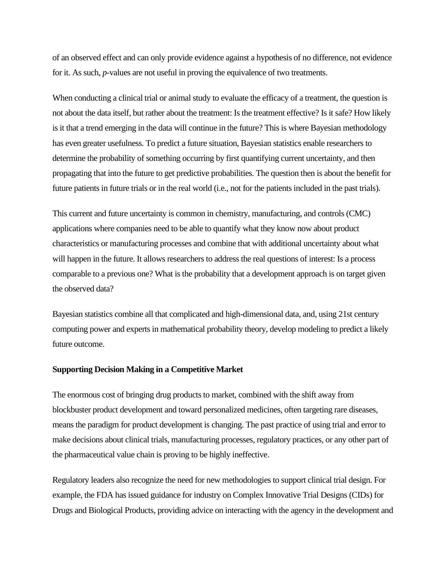of an observed effect and can only provide evidence against a hypothesis of no difference, not evidence for it. As such, *p*-values are not useful in proving the equivalence of two treatments.

When conducting a clinical trial or animal study to evaluate the efficacy of a treatment, the question is not about the data itself, but rather about the treatment: Is the treatment effective? Is it safe? How likely is it that a trend emerging in the data will continue in the future? This is where Bayesian methodology has even greater usefulness. To predict a future situation, Bayesian statistics enable researchers to determine the probability of something occurring by first quantifying current uncertainty, and then propagating that into the future to get predictive probabilities. The question then is about the benefit for future patients in future trials or in the real world (i.e., not for the patients included in the past trials).

This current and future uncertainty is common in chemistry, manufacturing, and controls (CMC) applications where companies need to be able to quantify what they know now about product characteristics or manufacturing processes and combine that with additional uncertainty about what will happen in the future. It allows researchers to address the real questions of interest: Is a process comparable to a previous one? What is the probability that a development approach is on target given the observed data?

Bayesian statistics combine all that complicated and high-dimensional data, and, using 21st century computing power and experts in mathematical probability theory, develop modeling to predict a likely future outcome.

#### **Supporting Decision Making in a Competitive Market**

The enormous cost of bringing drug products to market, combined with the shift away from blockbuster product development and toward personalized medicines, often targeting rare diseases, means the paradigm for product development is changing. The past practice of using trial and error to make decisions about clinical trials, manufacturing processes, regulatory practices, or any other part of the pharmaceutical value chain is proving to be highly ineffective.

Regulatory leaders also recognize the need for new methodologies to support clinical trial design. For example, the FDA has issued guidance for industry on Complex Innovative Trial Designs (CIDs) for Drugs and Biological Products, providing advice on interacting with the agency in the development and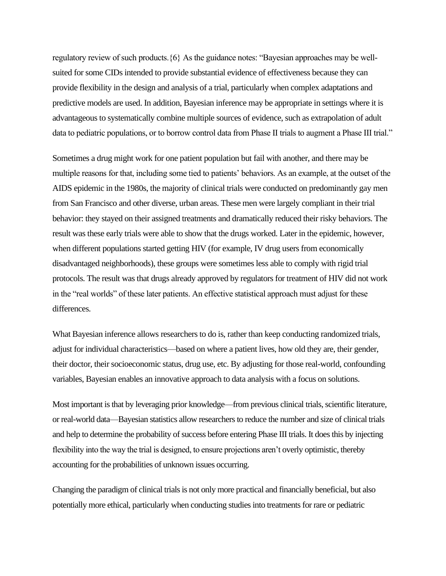regulatory review of such products.{6} As the guidance notes: "Bayesian approaches may be wellsuited for some CIDs intended to provide substantial evidence of effectiveness because they can provide flexibility in the design and analysis of a trial, particularly when complex adaptations and predictive models are used. In addition, Bayesian inference may be appropriate in settings where it is advantageous to systematically combine multiple sources of evidence, such as extrapolation of adult data to pediatric populations, or to borrow control data from Phase II trials to augment a Phase III trial."

Sometimes a drug might work for one patient population but fail with another, and there may be multiple reasons for that, including some tied to patients' behaviors. As an example, at the outset of the AIDS epidemic in the 1980s, the majority of clinical trials were conducted on predominantly gay men from San Francisco and other diverse, urban areas. These men were largely compliant in their trial behavior: they stayed on their assigned treatments and dramatically reduced their risky behaviors. The result was these early trials were able to show that the drugs worked. Later in the epidemic, however, when different populations started getting HIV (for example, IV drug users from economically disadvantaged neighborhoods), these groups were sometimes less able to comply with rigid trial protocols. The result was that drugs already approved by regulators for treatment of HIV did not work in the "real worlds" of these later patients. An effective statistical approach must adjust for these differences.

What Bayesian inference allows researchers to do is, rather than keep conducting randomized trials, adjust for individual characteristics—based on where a patient lives, how old they are, their gender, their doctor, their socioeconomic status, drug use, etc. By adjusting for those real-world, confounding variables, Bayesian enables an innovative approach to data analysis with a focus on solutions.

Most important is that by leveraging prior knowledge—from previous clinical trials, scientific literature, or real-world data—Bayesian statistics allow researchers to reduce the number and size of clinical trials and help to determine the probability of success before entering Phase III trials. It does this by injecting flexibility into the way the trial is designed, to ensure projections aren't overly optimistic, thereby accounting for the probabilities of unknown issues occurring.

Changing the paradigm of clinical trials is not only more practical and financially beneficial, but also potentially more ethical, particularly when conducting studies into treatments for rare or pediatric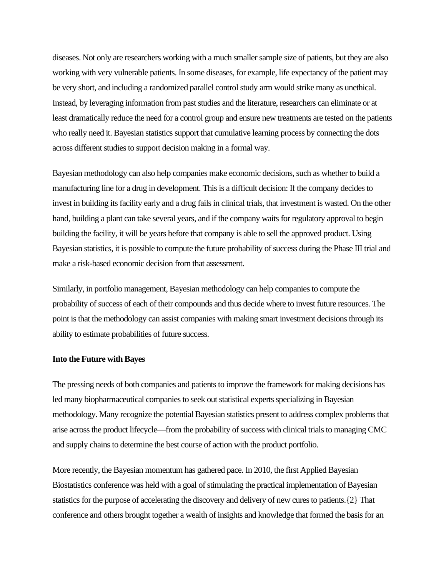diseases. Not only are researchers working with a much smaller sample size of patients, but they are also working with very vulnerable patients. In some diseases, for example, life expectancy of the patient may be very short, and including a randomized parallel control study arm would strike many as unethical. Instead, by leveraging information from past studies and the literature, researchers can eliminate or at least dramatically reduce the need for a control group and ensure new treatments are tested on the patients who really need it. Bayesian statistics support that cumulative learning process by connecting the dots across different studies to support decision making in a formal way.

Bayesian methodology can also help companies make economic decisions, such as whether to build a manufacturing line for a drug in development. This is a difficult decision: If the company decides to invest in building its facility early and a drug fails in clinical trials, that investment is wasted. On the other hand, building a plant can take several years, and if the company waits for regulatory approval to begin building the facility, it will be years before that company is able to sell the approved product. Using Bayesian statistics, it is possible to compute the future probability of success during the Phase III trial and make a risk-based economic decision from that assessment.

Similarly, in portfolio management, Bayesian methodology can help companies to compute the probability of success of each of their compounds and thus decide where to invest future resources. The point is that the methodology can assist companies with making smart investment decisions through its ability to estimate probabilities of future success.

#### **Into the Future with Bayes**

The pressing needs of both companies and patients to improve the framework for making decisions has led many biopharmaceutical companies to seek out statistical experts specializing in Bayesian methodology. Many recognize the potential Bayesian statistics present to address complex problems that arise across the product lifecycle—from the probability of success with clinical trials to managing CMC and supply chains to determine the best course of action with the product portfolio.

More recently, the Bayesian momentum has gathered pace. In 2010, the first Applied Bayesian Biostatistics conference was held with a goal of stimulating the practical implementation of Bayesian statistics for the purpose of accelerating the discovery and delivery of new cures to patients.{2} That conference and others brought together a wealth of insights and knowledge that formed the basis for an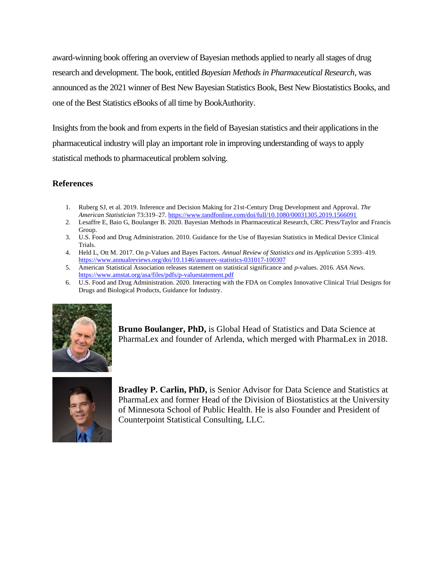award-winning book offering an overview of Bayesian methods applied to nearly all stages of drug research and development. The book, entitled *Bayesian Methods in Pharmaceutical Research*, was announced as the 2021 winner of Best New Bayesian Statistics Book, Best New Biostatistics Books, and one of the Best Statistics eBooks of all time by BookAuthority.

Insights from the book and from experts in the field of Bayesian statistics and their applications in the pharmaceutical industry will play an important role in improving understanding of ways to apply statistical methods to pharmaceutical problem solving.

#### **References**

- 1. Ruberg SJ, et al. 2019. Inference and Decision Making for 21st-Century Drug Development and Approval. *The American Statistician* 73:319–27.<https://www.tandfonline.com/doi/full/10.1080/00031305.2019.1566091>
- 2. Lesaffre E, Baio G, Boulanger B. 2020. Bayesian Methods in Pharmaceutical Research, CRC Press/Taylor and Francis Group.
- 3. U.S. Food and Drug Administration. 2010. Guidance for the Use of Bayesian Statistics in Medical Device Clinical Trials.
- 4. Held L, Ott M. 2017. On p-Values and Bayes Factors. *Annual Review of Statistics and its Application* 5:393–419. <https://www.annualreviews.org/doi/10.1146/annurev-statistics-031017-100307>
- 5. American Statistical Association releases statement on statistical significance and *p*-values. 2016. *ASA News*. <https://www.amstat.org/asa/files/pdfs/p-valuestatement.pdf>
- 6. U.S. Food and Drug Administration. 2020. Interacting with the FDA on Complex Innovative Clinical Trial Designs for Drugs and Biological Products, Guidance for Industry.



**Bruno Boulanger, PhD,** is Global Head of Statistics and Data Science at PharmaLex and founder of Arlenda, which merged with PharmaLex in 2018.



**Bradley P. Carlin, PhD,** is Senior Advisor for Data Science and Statistics at PharmaLex and former Head of the Division of Biostatistics at the University of Minnesota School of Public Health. He is also Founder and President of Counterpoint Statistical Consulting, LLC.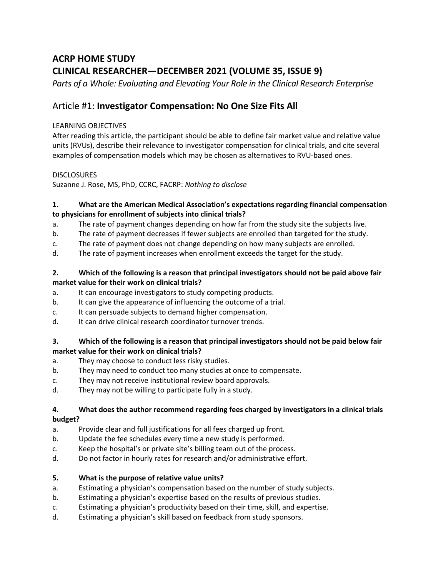# **ACRP HOME STUDY CLINICAL RESEARCHER—DECEMBER 2021 (VOLUME 35, ISSUE 9)**

Parts of a Whole: Evaluating and Elevating Your Role in the Clinical Research Enterprise

# Article #1: **Investigator Compensation: No One Size Fits All**

#### LEARNING OBJECTIVES

After reading this article, the participant should be able to define fair market value and relative value units (RVUs), describe their relevance to investigator compensation for clinical trials, and cite several examples of compensation models which may be chosen as alternatives to RVU-based ones.

#### **DISCLOSURES**

Suzanne J. Rose, MS, PhD, CCRC, FACRP: *Nothing to disclose*

#### **1. What are the American Medical Association's expectations regarding financial compensation to physicians for enrollment of subjects into clinical trials?**

- a. The rate of payment changes depending on how far from the study site the subjects live.
- b. The rate of payment decreases if fewer subjects are enrolled than targeted for the study.
- c. The rate of payment does not change depending on how many subjects are enrolled.
- d. The rate of payment increases when enrollment exceeds the target for the study.

#### **2. Which of the following is a reason that principal investigators should not be paid above fair market value for their work on clinical trials?**

- a. It can encourage investigators to study competing products.
- b. It can give the appearance of influencing the outcome of a trial.
- c. It can persuade subjects to demand higher compensation.
- d. It can drive clinical research coordinator turnover trends.

#### **3. Which of the following is a reason that principal investigators should not be paid below fair market value for their work on clinical trials?**

- a. They may choose to conduct less risky studies.
- b. They may need to conduct too many studies at once to compensate.
- c. They may not receive institutional review board approvals.
- d. They may not be willing to participate fully in a study.

#### **4. What does the author recommend regarding fees charged by investigators in a clinical trials budget?**

- a. Provide clear and full justifications for all fees charged up front.
- b. Update the fee schedules every time a new study is performed.
- c. Keep the hospital's or private site's billing team out of the process.
- d. Do not factor in hourly rates for research and/or administrative effort.

### **5. What is the purpose of relative value units?**

- a. Estimating a physician's compensation based on the number of study subjects.
- b. Estimating a physician's expertise based on the results of previous studies.
- c. Estimating a physician's productivity based on their time, skill, and expertise.
- d. Estimating a physician's skill based on feedback from study sponsors.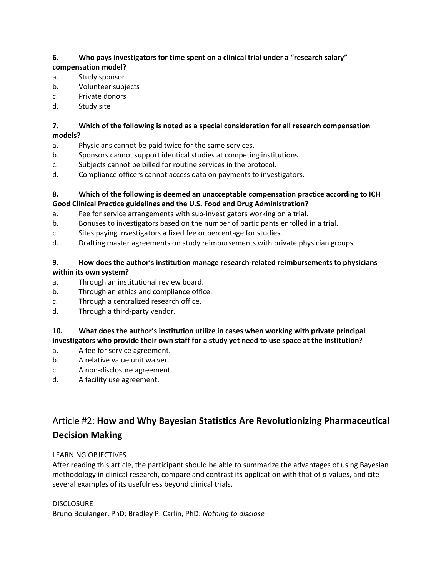### **6. Who pays investigators for time spent on a clinical trial under a "research salary"**

#### **compensation model?**

- a. Study sponsor
- b. Volunteer subjects
- c. Private donors
- d. Study site

#### **7. Which of the following is noted as a special consideration for all research compensation models?**

- a. Physicians cannot be paid twice for the same services.
- b. Sponsors cannot support identical studies at competing institutions.
- c. Subjects cannot be billed for routine services in the protocol.
- d. Compliance officers cannot access data on payments to investigators.

#### **8. Which of the following is deemed an unacceptable compensation practice according to ICH Good Clinical Practice guidelines and the U.S. Food and Drug Administration?**

- a. Fee for service arrangements with sub-investigators working on a trial.
- b. Bonuses to investigators based on the number of participants enrolled in a trial.
- c. Sites paying investigators a fixed fee or percentage for studies.
- d. Drafting master agreements on study reimbursements with private physician groups.

#### **9. How does the author's institution manage research-related reimbursements to physicians within its own system?**

- a. Through an institutional review board.
- b. Through an ethics and compliance office.
- c. Through a centralized research office.
- d. Through a third-party vendor.

#### **10. What does the author's institution utilize in cases when working with private principal investigators who provide their own staff for a study yet need to use space at the institution?**

- a. A fee for service agreement.
- b. A relative value unit waiver.
- c. A non-disclosure agreement.
- d. A facility use agreement.

# Article #2: **How and Why Bayesian Statistics Are Revolutionizing Pharmaceutical Decision Making**

#### LEARNING OBJECTIVES

After reading this article, the participant should be able to summarize the advantages of using Bayesian methodology in clinical research, compare and contrast its application with that of *p*-values, and cite several examples of its usefulness beyond clinical trials.

#### **DISCLOSURE**

Bruno Boulanger, PhD; Bradley P. Carlin, PhD: *Nothing to disclose*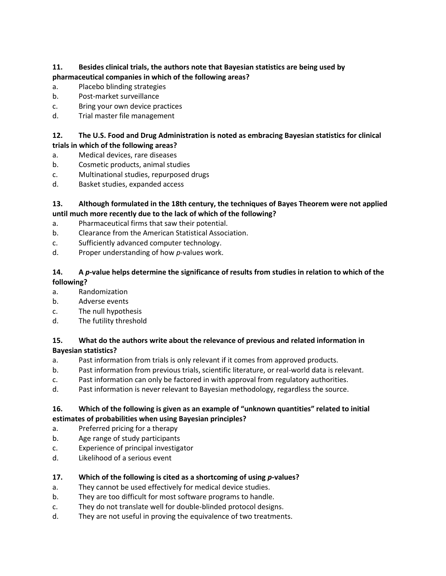#### **11. Besides clinical trials, the authors note that Bayesian statistics are being used by pharmaceutical companies in which of the following areas?**

- a. Placebo blinding strategies
- b. Post-market surveillance
- c. Bring your own device practices
- d. Trial master file management

#### **12. The U.S. Food and Drug Administration is noted as embracing Bayesian statistics for clinical trials in which of the following areas?**

- a. Medical devices, rare diseases
- b. Cosmetic products, animal studies
- c. Multinational studies, repurposed drugs
- d. Basket studies, expanded access

#### **13. Although formulated in the 18th century, the techniques of Bayes Theorem were not applied until much more recently due to the lack of which of the following?**

- a. Pharmaceutical firms that saw their potential.
- b. Clearance from the American Statistical Association.
- c. Sufficiently advanced computer technology.
- d. Proper understanding of how *p*-values work.

#### **14. A** *p***-value helps determine the significance of results from studies in relation to which of the following?**

- a. Randomization
- b. Adverse events
- c. The null hypothesis
- d. The futility threshold

#### **15. What do the authors write about the relevance of previous and related information in Bayesian statistics?**

- a. Past information from trials is only relevant if it comes from approved products.
- b. Past information from previous trials, scientific literature, or real-world data is relevant.
- c. Past information can only be factored in with approval from regulatory authorities.
- d. Past information is never relevant to Bayesian methodology, regardless the source.

#### **16. Which of the following is given as an example of "unknown quantities" related to initial estimates of probabilities when using Bayesian principles?**

- a. Preferred pricing for a therapy
- b. Age range of study participants
- c. Experience of principal investigator
- d. Likelihood of a serious event

### **17. Which of the following is cited as a shortcoming of using** *p***-values?**

- a. They cannot be used effectively for medical device studies.
- b. They are too difficult for most software programs to handle.
- c. They do not translate well for double-blinded protocol designs.
- d. They are not useful in proving the equivalence of two treatments.